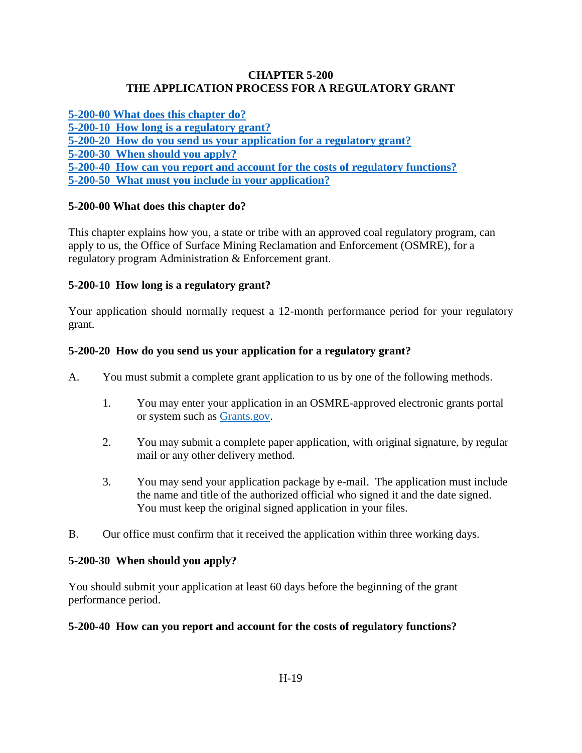#### **CHAPTER 5-200 THE APPLICATION PROCESS FOR A REGULATORY GRANT**

**[5-200-00 What does this chapter do?](#page-0-0) [5-200-10 How long is a regulatory grant?](#page-0-1) [5-200-20 How do you send us your application for a regulatory grant?](#page-0-2) [5-200-30 When should you apply?](#page-0-3) [5-200-40 How can you report and account for the costs of regulatory functions?](#page-0-4) [5-200-50 What must you include in your application?](#page-1-0)**

## <span id="page-0-0"></span>**5-200-00 What does this chapter do?**

This chapter explains how you, a state or tribe with an approved coal regulatory program, can apply to us, the Office of Surface Mining Reclamation and Enforcement (OSMRE), for a regulatory program Administration & Enforcement grant.

## <span id="page-0-1"></span>**5-200-10 How long is a regulatory grant?**

Your application should normally request a 12-month performance period for your regulatory grant.

## <span id="page-0-2"></span>**5-200-20 How do you send us your application for a regulatory grant?**

- A. You must submit a complete grant application to us by one of the following methods.
	- 1. You may enter your application in an OSMRE-approved electronic grants portal or system such as [Grants.gov.](http://www.grants.gov/web/grants/home.html)
	- 2. You may submit a complete paper application, with original signature, by regular mail or any other delivery method.
	- 3. You may send your application package by e-mail. The application must include the name and title of the authorized official who signed it and the date signed. You must keep the original signed application in your files.
- B. Our office must confirm that it received the application within three working days.

#### <span id="page-0-3"></span>**5-200-30 When should you apply?**

You should submit your application at least 60 days before the beginning of the grant performance period.

#### <span id="page-0-4"></span>**5-200-40 How can you report and account for the costs of regulatory functions?**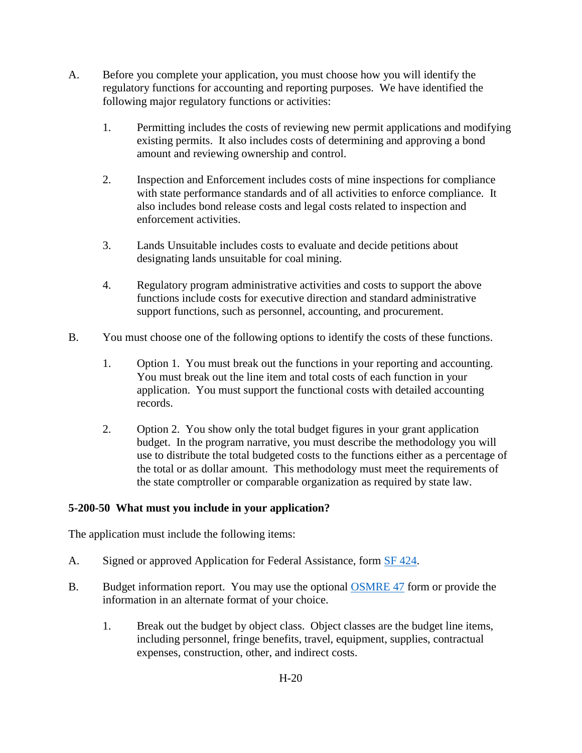- A. Before you complete your application, you must choose how you will identify the regulatory functions for accounting and reporting purposes. We have identified the following major regulatory functions or activities:
	- 1. Permitting includes the costs of reviewing new permit applications and modifying existing permits. It also includes costs of determining and approving a bond amount and reviewing ownership and control.
	- 2. Inspection and Enforcement includes costs of mine inspections for compliance with state performance standards and of all activities to enforce compliance. It also includes bond release costs and legal costs related to inspection and enforcement activities.
	- 3. Lands Unsuitable includes costs to evaluate and decide petitions about designating lands unsuitable for coal mining.
	- 4. Regulatory program administrative activities and costs to support the above functions include costs for executive direction and standard administrative support functions, such as personnel, accounting, and procurement.
- B. You must choose one of the following options to identify the costs of these functions.
	- 1. Option 1. You must break out the functions in your reporting and accounting. You must break out the line item and total costs of each function in your application. You must support the functional costs with detailed accounting records.
	- 2. Option 2. You show only the total budget figures in your grant application budget. In the program narrative, you must describe the methodology you will use to distribute the total budgeted costs to the functions either as a percentage of the total or as dollar amount. This methodology must meet the requirements of the state comptroller or comparable organization as required by state law.

# <span id="page-1-0"></span>**5-200-50 What must you include in your application?**

The application must include the following items:

- A. Signed or approved Application for Federal Assistance, form [SF 424.](http://apply07.grants.gov/apply/forms/sample/SF424_2_1-V2.1.pdf)
- B. Budget information report. You may use the optional [OSMRE 47](http://www.osmre.gov/resources/forms/OSM47.pdf) form or provide the information in an alternate format of your choice.
	- 1. Break out the budget by object class. Object classes are the budget line items, including personnel, fringe benefits, travel, equipment, supplies, contractual expenses, construction, other, and indirect costs.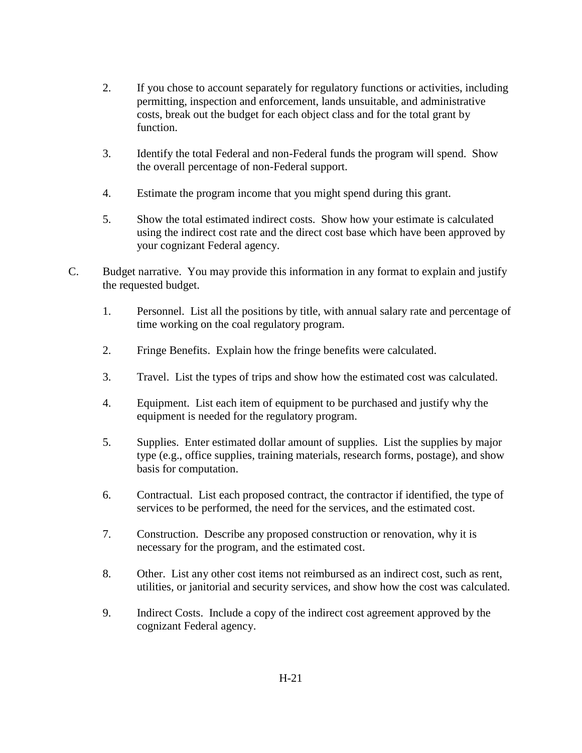- 2. If you chose to account separately for regulatory functions or activities, including permitting, inspection and enforcement, lands unsuitable, and administrative costs, break out the budget for each object class and for the total grant by function.
- 3. Identify the total Federal and non-Federal funds the program will spend. Show the overall percentage of non-Federal support.
- 4. Estimate the program income that you might spend during this grant.
- 5. Show the total estimated indirect costs. Show how your estimate is calculated using the indirect cost rate and the direct cost base which have been approved by your cognizant Federal agency.
- C. Budget narrative. You may provide this information in any format to explain and justify the requested budget.
	- 1. Personnel. List all the positions by title, with annual salary rate and percentage of time working on the coal regulatory program.
	- 2. Fringe Benefits. Explain how the fringe benefits were calculated.
	- 3. Travel. List the types of trips and show how the estimated cost was calculated.
	- 4. Equipment. List each item of equipment to be purchased and justify why the equipment is needed for the regulatory program.
	- 5. Supplies. Enter estimated dollar amount of supplies. List the supplies by major type (e.g., office supplies, training materials, research forms, postage), and show basis for computation.
	- 6. Contractual. List each proposed contract, the contractor if identified, the type of services to be performed, the need for the services, and the estimated cost.
	- 7. Construction. Describe any proposed construction or renovation, why it is necessary for the program, and the estimated cost.
	- 8. Other. List any other cost items not reimbursed as an indirect cost, such as rent, utilities, or janitorial and security services, and show how the cost was calculated.
	- 9. Indirect Costs. Include a copy of the indirect cost agreement approved by the cognizant Federal agency.